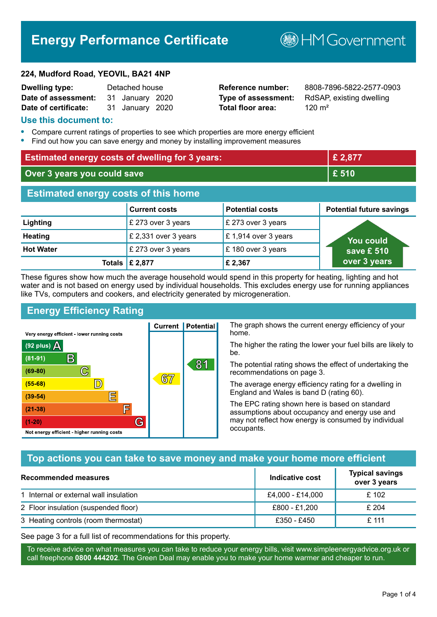# **Energy Performance Certificate**

**B**HM Government

#### **224, Mudford Road, YEOVIL, BA21 4NP**

| <b>Dwelling type:</b> | Detached house |                 |  |
|-----------------------|----------------|-----------------|--|
| Date of assessment:   |                | 31 January 2020 |  |
| Date of certificate:  |                | 31 January 2020 |  |

# **Total floor area:** 3120 m<sup>2</sup>

**Reference number:** 8808-7896-5822-2577-0903 **Type of assessment:** RdSAP, existing dwelling

#### **Use this document to:**

- **•** Compare current ratings of properties to see which properties are more energy efficient
- **•** Find out how you can save energy and money by installing improvement measures

| <b>Estimated energy costs of dwelling for 3 years:</b> |                           |                        | £ 2,877                         |
|--------------------------------------------------------|---------------------------|------------------------|---------------------------------|
| Over 3 years you could save                            |                           |                        | £ 510                           |
| <b>Estimated energy costs of this home</b>             |                           |                        |                                 |
|                                                        | <b>Current costs</b>      | <b>Potential costs</b> | <b>Potential future savings</b> |
| Lighting                                               | £ 273 over 3 years        | £ 273 over 3 years     |                                 |
| <b>Heating</b>                                         | £ 2,331 over 3 years      | £1,914 over 3 years    | You could                       |
| <b>Hot Water</b>                                       | £ 273 over 3 years        | £180 over 3 years      | save £ 510                      |
|                                                        | Totals $\mathsf{E}$ 2,877 | £2,367                 | over 3 years                    |

These figures show how much the average household would spend in this property for heating, lighting and hot water and is not based on energy used by individual households. This excludes energy use for running appliances like TVs, computers and cookers, and electricity generated by microgeneration.

**Current | Potential** 

 $67$ 

# **Energy Efficiency Rating**

 $\mathbb{C}$ 

D)

E

E

G

Very energy efficient - lower running costs

 $\mathsf{R}% _{T}$ 

Not energy efficient - higher running costs

(92 plus)  $\Delta$ 

 $(81 - 91)$ 

 $(69 - 80)$ 

 $(55-68)$ 

 $(39 - 54)$  $(21-38)$ 

 $(1-20)$ 

The graph shows the current energy efficiency of your home.

The higher the rating the lower your fuel bills are likely to be.

The potential rating shows the effect of undertaking the recommendations on page 3.

The average energy efficiency rating for a dwelling in England and Wales is band D (rating 60).

The EPC rating shown here is based on standard assumptions about occupancy and energy use and may not reflect how energy is consumed by individual occupants.

# **Top actions you can take to save money and make your home more efficient**

81

| Recommended measures                   | Indicative cost  | <b>Typical savings</b><br>over 3 years |
|----------------------------------------|------------------|----------------------------------------|
| 1 Internal or external wall insulation | £4,000 - £14,000 | £102                                   |
| 2 Floor insulation (suspended floor)   | £800 - £1,200    | £ 204                                  |
| 3 Heating controls (room thermostat)   | £350 - £450      | £ 111                                  |

See page 3 for a full list of recommendations for this property.

To receive advice on what measures you can take to reduce your energy bills, visit www.simpleenergyadvice.org.uk or call freephone **0800 444202**. The Green Deal may enable you to make your home warmer and cheaper to run.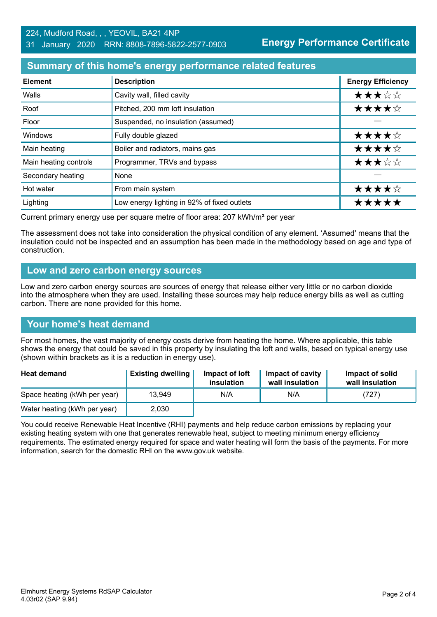**Energy Performance Certificate**

# **Summary of this home's energy performance related features**

| <b>Element</b>        | <b>Description</b>                          | <b>Energy Efficiency</b> |
|-----------------------|---------------------------------------------|--------------------------|
| Walls                 | Cavity wall, filled cavity                  | ★★★☆☆                    |
| Roof                  | Pitched, 200 mm loft insulation             | ★★★★☆                    |
| Floor                 | Suspended, no insulation (assumed)          |                          |
| <b>Windows</b>        | Fully double glazed                         | ★★★★☆                    |
| Main heating          | Boiler and radiators, mains gas             | ★★★★☆                    |
| Main heating controls | Programmer, TRVs and bypass                 | ★★★☆☆                    |
| Secondary heating     | None                                        |                          |
| Hot water             | From main system                            | ★★★★☆                    |
| Lighting              | Low energy lighting in 92% of fixed outlets | *****                    |

Current primary energy use per square metre of floor area: 207 kWh/m² per year

The assessment does not take into consideration the physical condition of any element. 'Assumed' means that the insulation could not be inspected and an assumption has been made in the methodology based on age and type of construction.

#### **Low and zero carbon energy sources**

Low and zero carbon energy sources are sources of energy that release either very little or no carbon dioxide into the atmosphere when they are used. Installing these sources may help reduce energy bills as well as cutting carbon. There are none provided for this home.

# **Your home's heat demand**

For most homes, the vast majority of energy costs derive from heating the home. Where applicable, this table shows the energy that could be saved in this property by insulating the loft and walls, based on typical energy use (shown within brackets as it is a reduction in energy use).

| <b>Heat demand</b>           | <b>Existing dwelling</b> | Impact of loft<br>insulation | Impact of cavity<br>wall insulation | Impact of solid<br>wall insulation |
|------------------------------|--------------------------|------------------------------|-------------------------------------|------------------------------------|
| Space heating (kWh per year) | 13.949                   | N/A                          | N/A                                 | (727)                              |
| Water heating (kWh per year) | 2,030                    |                              |                                     |                                    |

You could receive Renewable Heat Incentive (RHI) payments and help reduce carbon emissions by replacing your existing heating system with one that generates renewable heat, subject to meeting minimum energy efficiency requirements. The estimated energy required for space and water heating will form the basis of the payments. For more information, search for the domestic RHI on the www.gov.uk website.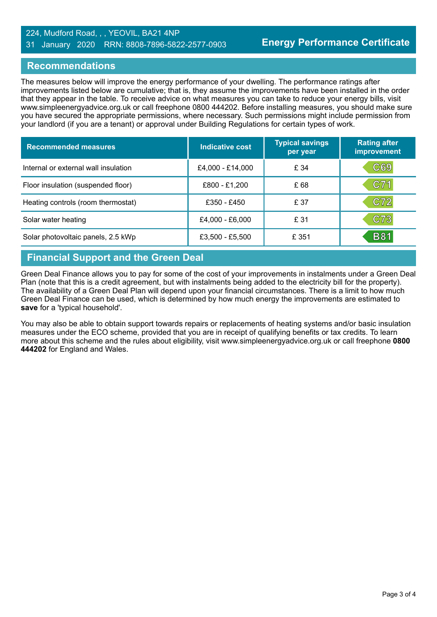#### 224, Mudford Road, , , YEOVIL, BA21 4NP 31 January 2020 RRN: 8808-7896-5822-2577-0903

#### **Recommendations**

The measures below will improve the energy performance of your dwelling. The performance ratings after improvements listed below are cumulative; that is, they assume the improvements have been installed in the order that they appear in the table. To receive advice on what measures you can take to reduce your energy bills, visit www.simpleenergyadvice.org.uk or call freephone 0800 444202. Before installing measures, you should make sure you have secured the appropriate permissions, where necessary. Such permissions might include permission from your landlord (if you are a tenant) or approval under Building Regulations for certain types of work.

| <b>Recommended measures</b>          | Indicative cost  | <b>Typical savings</b><br>per year | <b>Rating after</b><br>improvement |
|--------------------------------------|------------------|------------------------------------|------------------------------------|
| Internal or external wall insulation | £4,000 - £14,000 | £ 34                               | C69                                |
| Floor insulation (suspended floor)   | £800 - £1,200    | £68                                | C71                                |
| Heating controls (room thermostat)   | £350 - £450      | £ 37                               | C72                                |
| Solar water heating                  | £4,000 - £6,000  | £ 31                               | C73                                |
| Solar photovoltaic panels, 2.5 kWp   | £3,500 - £5,500  | £ 351                              | <b>B81</b>                         |

# **Financial Support and the Green Deal**

Green Deal Finance allows you to pay for some of the cost of your improvements in instalments under a Green Deal Plan (note that this is a credit agreement, but with instalments being added to the electricity bill for the property). The availability of a Green Deal Plan will depend upon your financial circumstances. There is a limit to how much Green Deal Finance can be used, which is determined by how much energy the improvements are estimated to **save** for a 'typical household'.

You may also be able to obtain support towards repairs or replacements of heating systems and/or basic insulation measures under the ECO scheme, provided that you are in receipt of qualifying benefits or tax credits. To learn more about this scheme and the rules about eligibility, visit www.simpleenergyadvice.org.uk or call freephone **0800 444202** for England and Wales.